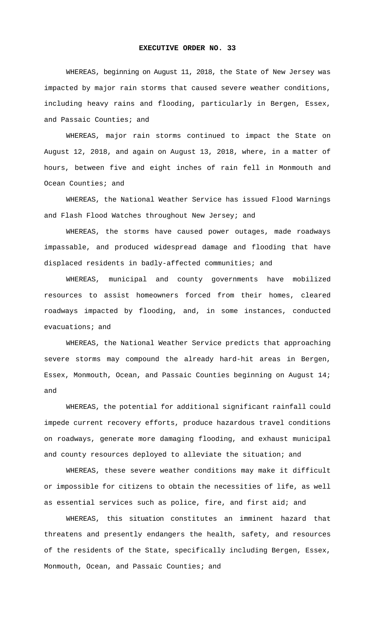## **EXECUTIVE ORDER NO. 33**

WHEREAS, beginning on August 11, 2018, the State of New Jersey was impacted by major rain storms that caused severe weather conditions, including heavy rains and flooding, particularly in Bergen, Essex, and Passaic Counties; and

WHEREAS, major rain storms continued to impact the State on August 12, 2018, and again on August 13, 2018, where, in a matter of hours, between five and eight inches of rain fell in Monmouth and Ocean Counties; and

WHEREAS, the National Weather Service has issued Flood Warnings and Flash Flood Watches throughout New Jersey; and

WHEREAS, the storms have caused power outages, made roadways impassable, and produced widespread damage and flooding that have displaced residents in badly-affected communities; and

WHEREAS, municipal and county governments have mobilized resources to assist homeowners forced from their homes, cleared roadways impacted by flooding, and, in some instances, conducted evacuations; and

WHEREAS, the National Weather Service predicts that approaching severe storms may compound the already hard-hit areas in Bergen, Essex, Monmouth, Ocean, and Passaic Counties beginning on August 14; and

WHEREAS, the potential for additional significant rainfall could impede current recovery efforts, produce hazardous travel conditions on roadways, generate more damaging flooding, and exhaust municipal and county resources deployed to alleviate the situation; and

WHEREAS, these severe weather conditions may make it difficult or impossible for citizens to obtain the necessities of life, as well as essential services such as police, fire, and first aid; and

WHEREAS, this situation constitutes an imminent hazard that threatens and presently endangers the health, safety, and resources of the residents of the State, specifically including Bergen, Essex, Monmouth, Ocean, and Passaic Counties; and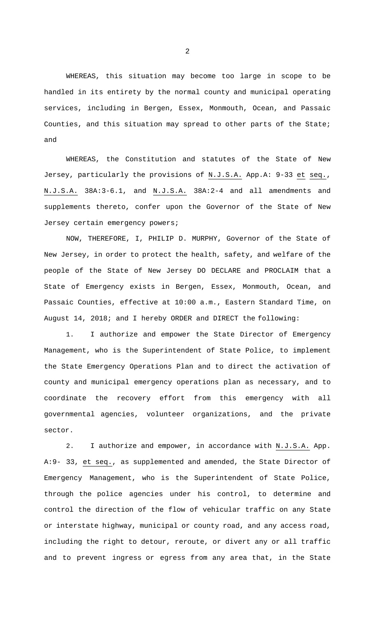WHEREAS, this situation may become too large in scope to be handled in its entirety by the normal county and municipal operating services, including in Bergen, Essex, Monmouth, Ocean, and Passaic Counties, and this situation may spread to other parts of the State; and

WHEREAS, the Constitution and statutes of the State of New Jersey, particularly the provisions of N.J.S.A. App.A: 9-33 et seq., N.J.S.A. 38A:3-6.1, and N.J.S.A. 38A:2-4 and all amendments and supplements thereto, confer upon the Governor of the State of New Jersey certain emergency powers;

NOW, THEREFORE, I, PHILIP D. MURPHY, Governor of the State of New Jersey, in order to protect the health, safety, and welfare of the people of the State of New Jersey DO DECLARE and PROCLAIM that a State of Emergency exists in Bergen, Essex, Monmouth, Ocean, and Passaic Counties, effective at 10:00 a.m., Eastern Standard Time, on August 14, 2018; and I hereby ORDER and DIRECT the following:

1. I authorize and empower the State Director of Emergency Management, who is the Superintendent of State Police, to implement the State Emergency Operations Plan and to direct the activation of county and municipal emergency operations plan as necessary, and to coordinate the recovery effort from this emergency with all governmental agencies, volunteer organizations, and the private sector.

2. I authorize and empower, in accordance with N.J.S.A. App. A:9- 33, et seq., as supplemented and amended, the State Director of Emergency Management, who is the Superintendent of State Police, through the police agencies under his control, to determine and control the direction of the flow of vehicular traffic on any State or interstate highway, municipal or county road, and any access road, including the right to detour, reroute, or divert any or all traffic and to prevent ingress or egress from any area that, in the State

2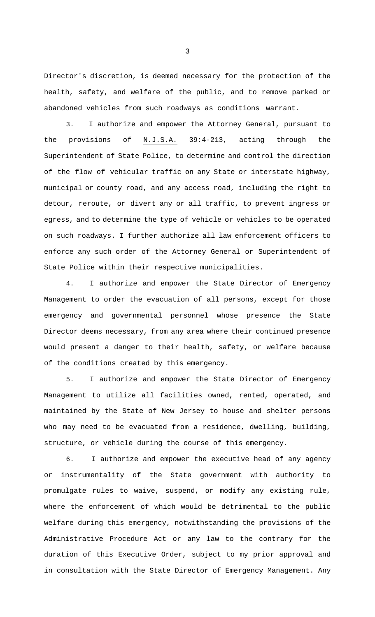Director's discretion, is deemed necessary for the protection of the health, safety, and welfare of the public, and to remove parked or abandoned vehicles from such roadways as conditions warrant.

3. I authorize and empower the Attorney General, pursuant to the provisions of N.J.S.A. 39:4-213, acting through the Superintendent of State Police, to determine and control the direction of the flow of vehicular traffic on any State or interstate highway, municipal or county road, and any access road, including the right to detour, reroute, or divert any or all traffic, to prevent ingress or egress, and to determine the type of vehicle or vehicles to be operated on such roadways. I further authorize all law enforcement officers to enforce any such order of the Attorney General or Superintendent of State Police within their respective municipalities.

4. I authorize and empower the State Director of Emergency Management to order the evacuation of all persons, except for those emergency and governmental personnel whose presence the State Director deems necessary, from any area where their continued presence would present a danger to their health, safety, or welfare because of the conditions created by this emergency.

5. I authorize and empower the State Director of Emergency Management to utilize all facilities owned, rented, operated, and maintained by the State of New Jersey to house and shelter persons who may need to be evacuated from a residence, dwelling, building, structure, or vehicle during the course of this emergency.

6. I authorize and empower the executive head of any agency or instrumentality of the State government with authority to promulgate rules to waive, suspend, or modify any existing rule, where the enforcement of which would be detrimental to the public welfare during this emergency, notwithstanding the provisions of the Administrative Procedure Act or any law to the contrary for the duration of this Executive Order, subject to my prior approval and in consultation with the State Director of Emergency Management. Any

3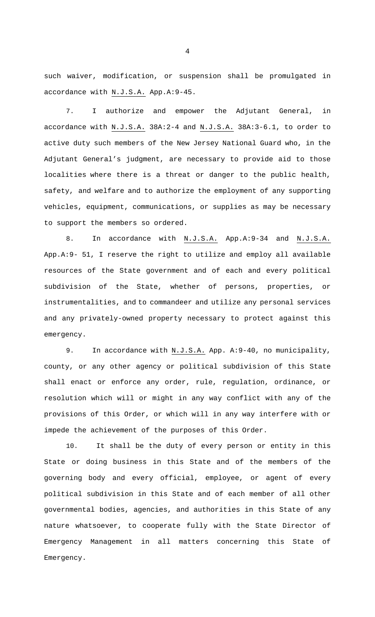such waiver, modification, or suspension shall be promulgated in accordance with N.J.S.A. App.A:9-45.

7. I authorize and empower the Adjutant General, in accordance with N.J.S.A. 38A:2-4 and N.J.S.A. 38A:3-6.1, to order to active duty such members of the New Jersey National Guard who, in the Adjutant General's judgment, are necessary to provide aid to those localities where there is a threat or danger to the public health, safety, and welfare and to authorize the employment of any supporting vehicles, equipment, communications, or supplies as may be necessary to support the members so ordered.

8. In accordance with N.J.S.A. App.A:9-34 and N.J.S.A. App.A:9- 51, I reserve the right to utilize and employ all available resources of the State government and of each and every political subdivision of the State, whether of persons, properties, or instrumentalities, and to commandeer and utilize any personal services and any privately-owned property necessary to protect against this emergency.

9. In accordance with N.J.S.A. App. A:9-40, no municipality, county, or any other agency or political subdivision of this State shall enact or enforce any order, rule, regulation, ordinance, or resolution which will or might in any way conflict with any of the provisions of this Order, or which will in any way interfere with or impede the achievement of the purposes of this Order.

10. It shall be the duty of every person or entity in this State or doing business in this State and of the members of the governing body and every official, employee, or agent of every political subdivision in this State and of each member of all other governmental bodies, agencies, and authorities in this State of any nature whatsoever, to cooperate fully with the State Director of Emergency Management in all matters concerning this State of Emergency.

4